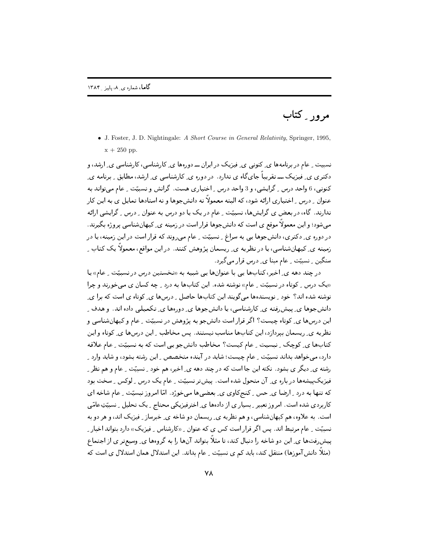[,6 "

• J. Foster, J. D. Nightingale: *A Short Course in General Relativity*, Springer, 1995,  $x + 250$  pp.

۔ نسبیت ۱۰ م در برنامهها *ی ـ* دنونی ی ـ فیزیک در ایران ــ دورهها ی ِ دارشناسی، دارشناسی ی ِ ارشد، و  qS ,- 9 , 
 " " "- 
 <sup>P</sup> ;\* - ) " کنونی، 6 واحد درس ِ گرایشی، و 3 واحد درس ِ اختیاری هست. گرانش و نسبیّت ِ عام میتواند به عنوان \_ درس \_ احتياري آرائه شود، که البته معمولاً نه دانشجوها و نه استادها تمايل ي به اين کار ندارند. کاه، در بعض ی گرایشگا، نسبیت ِ عام در یک یا دو درس به عنوان ِ درس ِ گرایشی ارائه می شود؛ و این معمولاً موقع ی است که دانش جوها قرار است در زمینه ی ِ کیهانشناسی پروژه بگیرند. "  ) (- " >- -N  9 K@ >) <sup>C</sup> P! v-  9 &0%-" " 
 " " زمینه ی ِ دیهانشناسی، یا در نظریه ی ِ ریسمان پژوهش دنند. در این مواقع، معمولاً یک دتاب ِ ") 9 -N U" P K@ >)CP! ()+

در چند دهه ی ِ احیر، تنابها یی با عنوانها یی شبیه به «نحستین درس در نسبیت ِ عام» یا «یک درس <sub>-</sub> گوتاه در نسبیت <sub>-</sub> عام» نوشته شده. این کتابها به درد <sub>-</sub> چه کسان ی میحورند و چرا ر ہے ، اس اس اور اس اور اس اور اس اور اس اور اس اور اس اور اس اور اس اور اس اور اس اور اس اور اس اور اس اور اس<br>اس اور اس اور اس اور اس اور اس اور اس اور اس اور اس اور اس اور اس اور اس اور اس اور اس اور اس اور اس اور اس او f & - 
"-" 9# ) <sup>&</sup>lt; <sup>4</sup> \* &
 " &0 %-" 9 ,  %) . &0 %-" این درسها ی ِ کوتاه چیست ۱۱ کر فرار است دانش جو به پژوهش در نسبیت ِ عام و کیهانشناسی و نظریه ی ِ ریسمان بیردارد، این تتابها مناسب نیستند. پس محاطب ِ این درسها ی ِ توتاه و این المعادية المحافظ المركز المستقدمات المستقدمات المستقدمات المستقدمات المستقدمات المستقدمات المستقدمات المستقدما ل المستخدم المستخدم المستخدم المستخدم المستخدمات المستخدم المستخدم المستخدم المستخدمات المستخدمات المستخدمات ا ر سنة التاريخ المسرحان المستقبل المستشفر التي تستطيل المستقبل المستقبل المستقبل المستقبل المسرح المسرح المسرح - فیزیک پیشهها در باره ی ِ آن متحول شده است. پیش تر نسبیت ِ عام یک درس ِ لوکس ِ سحت بود المستحد المستحدث المستحق المستحق المستحق المستحدث المستحدث المستحق المستحق المستحق المستحق المستحق المستحق الم - دربر-ق ۱۳۴۳ - ۱۳۰۰زرز - ۱۳۰۰زر ق. ر. ۱۳۱۰ز. ق. ۱۳۶۱ز ق. الزبیریا علی ۱۳۰۰ز از ۱۳۰۰ز - ۱۳۰۰ز از ۱۳۰۰ز - ۱۳۰۰ز است. به علاوه، هم ديهانشناسي، و هم نظريه ي ِ ريسمان دو شاحه ي ِ حبرساز ِ فيزيک آند، و هر دو به ۔ نسبیت ۱ عام مرتبط اند. پس آگر فرار است کس ی که عنوان ۱ «کارشناس ۱ فیزیک) دارد بتواند اخبار ۱ یبش رفتها ی ِ این دو شاحه را دنبال کند، تا متلا بتواند آنها را به کروهها ی ِ وسیعتر ی آر اجتماع (مثلاً دانش آموزها) منتقل دند، باید کم ی نسبیت ۱ عام بداند. این استدلال همان استدلال ی است که